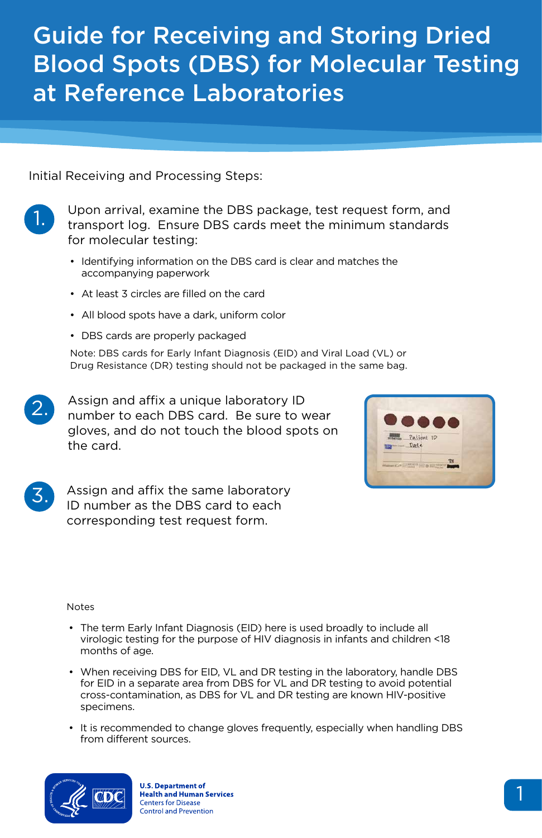### Guide for Receiving and Storing Dried Blood Spots (DBS) for Molecular Testing at Reference Laboratories



Initial Receiving and Processing Steps:

Upon arrival, examine the DBS package, test request form, and transport log. Ensure DBS cards meet the minimum standards for molecular testing:

- Identifying information on the DBS card is clear and matches the accompanying paperwork
- At least 3 circles are filled on the card
- All blood spots have a dark, uniform color
- DBS cards are properly packaged

Note: DBS cards for Early Infant Diagnosis (EID) and Viral Load (VL) or Drug Resistance (DR) testing should not be packaged in the same bag.

Assign and affix a unique laboratory ID number to each DBS card. Be sure to wear gloves, and do not touch the blood spots on the card.

Assign and affix the same laboratory ID number as the DBS card to each corresponding test request form.

| <b>RITS-ETCHY</b><br>Frame Date | Patient ID                 |  |
|---------------------------------|----------------------------|--|
|                                 | <b>CALIFORNIA DE BRANC</b> |  |



3.

- The term Early Infant Diagnosis (EID) here is used broadly to include all virologic testing for the purpose of HIV diagnosis in infants and children <18 months of age.
- When receiving DBS for EID, VL and DR testing in the laboratory, handle DBS for EID in a separate area from DBS for VL and DR testing to avoid potential cross-contamination, as DBS for VL and DR testing are known HIV-positive specimens.
- It is recommended to change gloves frequently, especially when handling DBS from different sources.



**U.S. Department of Health and Human Services Centers for Disease Control and Prevention**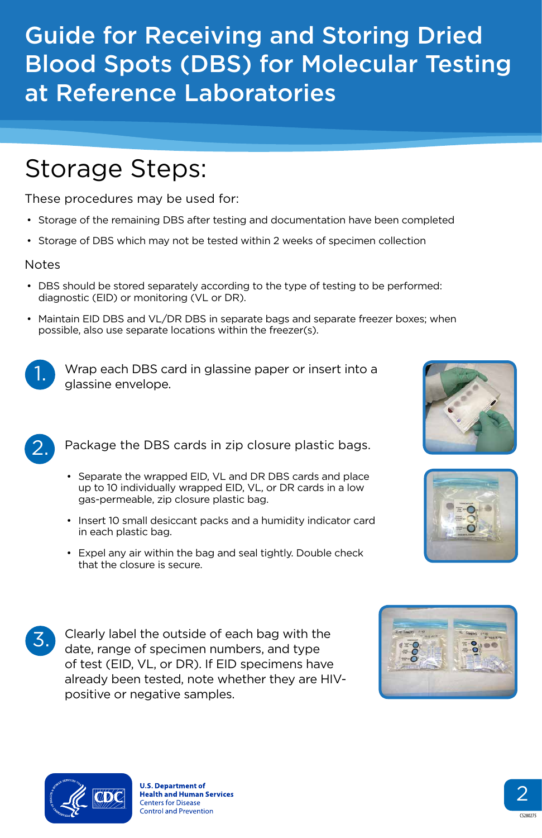2



2.

## Guide for Receiving and Storing Dried Blood Spots (DBS) for Molecular Testing at Reference Laboratories

# Storage Steps:

These procedures may be used for:

- Storage of the remaining DBS after testing and documentation have been completed
- Storage of DBS which may not be tested within 2 weeks of specimen collection

#### Notes

- DBS should be stored separately according to the type of testing to be performed: diagnostic (EID) or monitoring (VL or DR).
- Maintain EID DBS and VL/DR DBS in separate bags and separate freezer boxes; when possible, also use separate locations within the freezer(s).



Wrap each DBS card in glassine paper or insert into a glassine envelope.

Package the DBS cards in zip closure plastic bags.

- Separate the wrapped EID, VL and DR DBS cards and place up to 10 individually wrapped EID, VL, or DR cards in a low gas-permeable, zip closure plastic bag.
- Insert 10 small desiccant packs and a humidity indicator card in each plastic bag.
- Expel any air within the bag and seal tightly. Double check that the closure is secure.







Clearly label the outside of each bag with the date, range of specimen numbers, and type of test (EID, VL, or DR). If EID specimens have already been tested, note whether they are HIVpositive or negative samples.



**U.S. Department of Health and Human Services Centers for Disease Control and Prevention** 

CS280275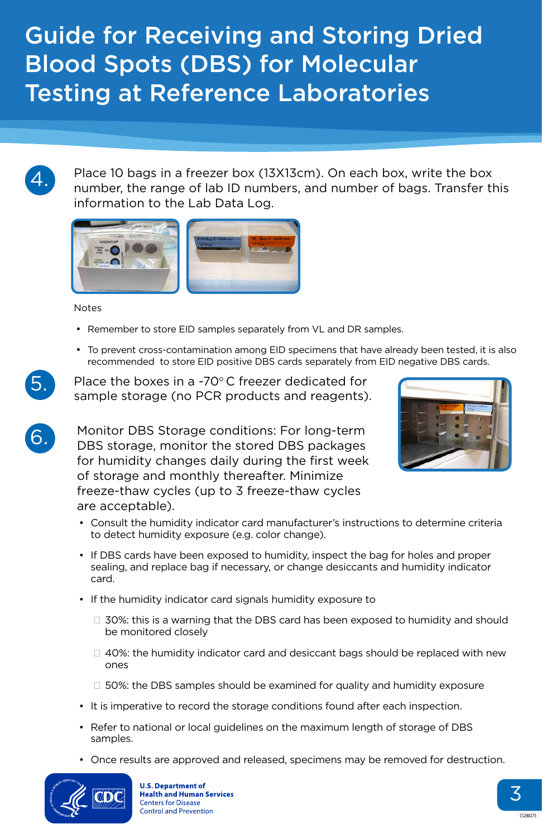4.



6.

### Guide for Receiving and Storing Dried Blood Spots (DBS) for Molecular Testing at Reference Laboratories

Place 10 bags in a freezer box (13X13cm). On each box, write the box number, the range of lab ID numbers, and number of bags. Transfer this information to the Lab Data Log.



**Notes** 

Place the boxes in a -70 $\degree$ C freezer dedicated for sample storage (no PCR products and reagents).

- Remember to store EID samples separately from VL and DR samples.
- To prevent cross-contamination among EID specimens that have already been tested, it is also recommended to store EID positive DBS cards separately from EID negative DBS cards.

Monitor DBS Storage conditions: For long-term DBS storage, monitor the stored DBS packages for humidity changes daily during the first week of storage and monthly thereafter. Minimize freeze-thaw cycles (up to 3 freeze-thaw cycles are acceptable).



- Consult the humidity indicator card manufacturer's instructions to determine criteria to detect humidity exposure (e.g. color change).
- If DBS cards have been exposed to humidity, inspect the bag for holes and proper sealing, and replace bag if necessary, or change desiccants and humidity indicator card.
- If the humidity indicator card signals humidity exposure to
	- □ 30%: this is a warning that the DBS card has been exposed to humidity and should be monitored closely
	- $\Box$  40%: the humidity indicator card and desiccant bags should be replaced with new ones
	- □ 50%: the DBS samples should be examined for quality and humidity exposure
- It is imperative to record the storage conditions found after each inspection.
- Refer to national or local guidelines on the maximum length of storage of DBS samples.
- Once results are approved and released, specimens may be removed for destruction.



**U.S. Department of Health and Human Services Centers for Disease Control and Prevention**